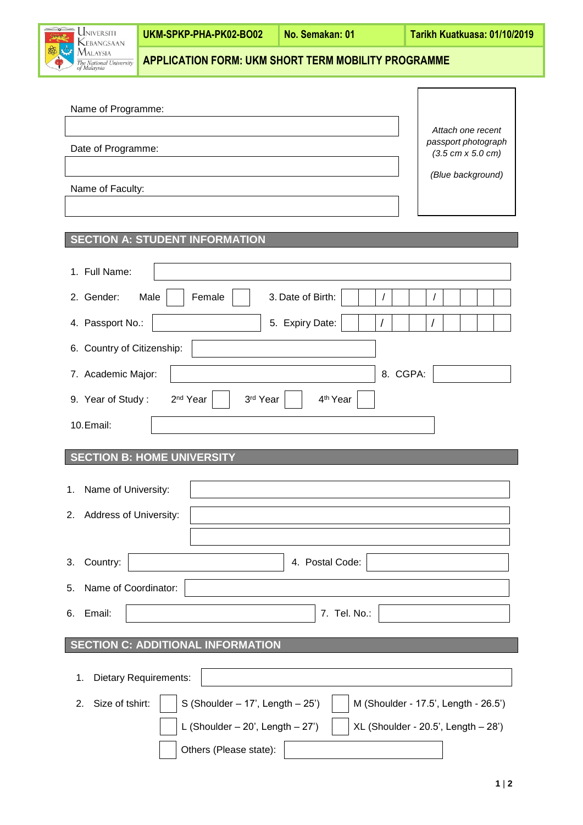|  | <b>UNIVERSITI</b><br>Winds.<br>KEBANGSAAN<br>国立<br><b>MALAYSIA</b><br>The National University<br>of Malaysia | UKM-SPKP-PHA-PK02-BO02                                     | <b>No. Semakan: 01</b> | Tarikh Kuatkuasa: 01/10/2019 |
|--|--------------------------------------------------------------------------------------------------------------|------------------------------------------------------------|------------------------|------------------------------|
|  |                                                                                                              | <b>APPLICATION FORM: UKM SHORT TERM MOBILITY PROGRAMME</b> |                        |                              |

| Name of Faculty:                                       | (Blue background) |
|--------------------------------------------------------|-------------------|
| <b>SECTION A: STUDENT INFORMATION</b><br>1. Full Name: |                   |

| 2. Gender:<br>Male<br>Female<br>3. Date of Birth:<br>7<br>$\prime$                                    |  |  |  |  |  |  |  |  |  |
|-------------------------------------------------------------------------------------------------------|--|--|--|--|--|--|--|--|--|
| 4. Passport No.:<br>5. Expiry Date:<br>T                                                              |  |  |  |  |  |  |  |  |  |
| 6. Country of Citizenship:                                                                            |  |  |  |  |  |  |  |  |  |
| 8. CGPA:<br>7. Academic Major:                                                                        |  |  |  |  |  |  |  |  |  |
| 2 <sup>nd</sup> Year<br>9. Year of Study:<br>3rd Year<br>4 <sup>th</sup> Year                         |  |  |  |  |  |  |  |  |  |
| 10.Email:                                                                                             |  |  |  |  |  |  |  |  |  |
| <b>SECTION B: HOME UNIVERSITY</b>                                                                     |  |  |  |  |  |  |  |  |  |
|                                                                                                       |  |  |  |  |  |  |  |  |  |
| Name of University:<br>1.                                                                             |  |  |  |  |  |  |  |  |  |
| Address of University:<br>2.                                                                          |  |  |  |  |  |  |  |  |  |
|                                                                                                       |  |  |  |  |  |  |  |  |  |
| Country:<br>4. Postal Code:<br>3.                                                                     |  |  |  |  |  |  |  |  |  |
| Name of Coordinator:<br>5.                                                                            |  |  |  |  |  |  |  |  |  |
|                                                                                                       |  |  |  |  |  |  |  |  |  |
| Email:<br>7. Tel. No.:<br>6.                                                                          |  |  |  |  |  |  |  |  |  |
|                                                                                                       |  |  |  |  |  |  |  |  |  |
| <b>SECTION C: ADDITIONAL INFORMATION</b>                                                              |  |  |  |  |  |  |  |  |  |
| <b>Dietary Requirements:</b><br>1.                                                                    |  |  |  |  |  |  |  |  |  |
|                                                                                                       |  |  |  |  |  |  |  |  |  |
| S (Shoulder $-17$ ', Length $-25$ ')<br>Size of tshirt:<br>M (Shoulder - 17.5', Length - 26.5')<br>2. |  |  |  |  |  |  |  |  |  |
| L (Shoulder $-20'$ , Length $-27'$ )<br>$XL$ (Shoulder - 20.5', Length $-28$ ')                       |  |  |  |  |  |  |  |  |  |

Others (Please state):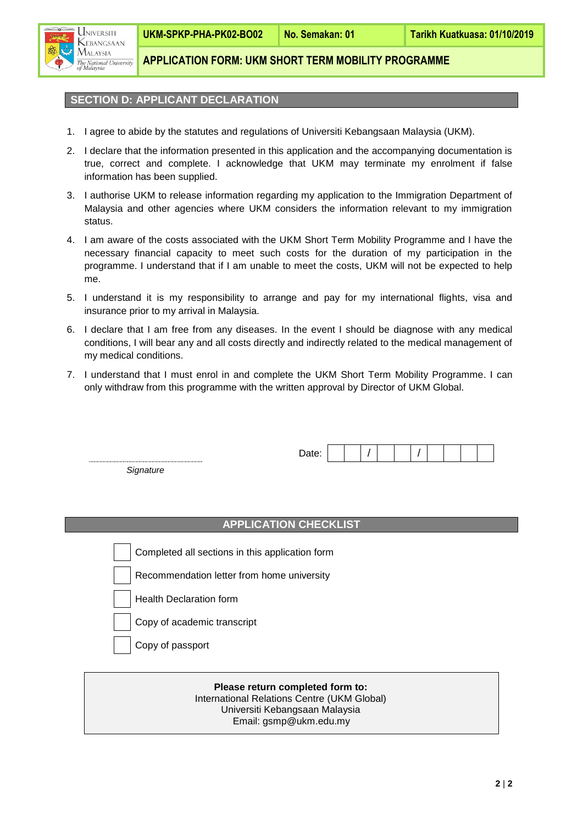

**APPLICATION FORM: UKM SHORT TERM MOBILITY PROGRAMME**

## **SECTION D: APPLICANT DECLARATION**

- 1. I agree to abide by the statutes and regulations of Universiti Kebangsaan Malaysia (UKM).
- 2. I declare that the information presented in this application and the accompanying documentation is true, correct and complete. I acknowledge that UKM may terminate my enrolment if false information has been supplied.
- 3. I authorise UKM to release information regarding my application to the Immigration Department of Malaysia and other agencies where UKM considers the information relevant to my immigration status.
- 4. I am aware of the costs associated with the UKM Short Term Mobility Programme and I have the necessary financial capacity to meet such costs for the duration of my participation in the programme. I understand that if I am unable to meet the costs, UKM will not be expected to help me.
- 5. I understand it is my responsibility to arrange and pay for my international flights, visa and insurance prior to my arrival in Malaysia.
- 6. I declare that I am free from any diseases. In the event I should be diagnose with any medical conditions, I will bear any and all costs directly and indirectly related to the medical management of my medical conditions.
- 7. I understand that I must enrol in and complete the UKM Short Term Mobility Programme. I can only withdraw from this programme with the written approval by Director of UKM Global.

*Signature*

## **APPLICATION CHECKLIST**

Completed all sections in this application form

Recommendation letter from home university

- Health Declaration form
- Copy of academic transcript

Copy of passport

## **Please return completed form to:** International Relations Centre (UKM Global) Universiti Kebangsaan Malaysia Email: gsmp@ukm.edu.my